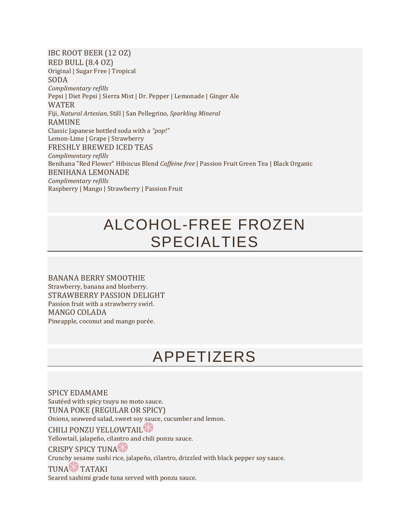IBC ROOT BEER (12 OZ) RED BULL (8.4 OZ) Original | Sugar Free | Tropical SODA *Complimentary refills* Pepsi | Diet Pepsi | Sierra Mist | Dr. Pepper | Lemonade | Ginger Ale WATER Fiji, *Natural Artesian*, Still | San Pellegrino, *Sparkling Mineral* RAMUNE Classic Japanese bottled soda with a *"pop!"* Lemon-Lime | Grape | Strawberry FRESHLY BREWED ICED TEAS *Complimentary refills* Benihana "Red Flower" Hibiscus Blend *Caffeine free* | Passion Fruit Green Tea | Black Organic BENIHANA LEMONADE *Complimentary refills* Raspberry | Mango | Strawberry | Passion Fruit

# ALCOHOL-FREE FROZEN SPECIALTIES

BANANA BERRY SMOOTHIE Strawberry, banana and blueberry. STRAWBERRY PASSION DELIGHT Passion fruit with a strawberry swirl. MANGO COLADA Pineapple, coconut and mango purée.

### APPETIZERS

SPICY EDAMAME Sautéed with spicy tsuyu no moto sauce. TUNA POKE (REGULAR OR SPICY) Onions, seaweed salad, sweet soy sauce, cucumber and lemon.

CHILI PONZU YELLOWTAIL

Yellowtail, jalapeño, cilantro and chili ponzu sauce.

CRISPY SPICY TUNA

Crunchy sesame sushi rice, jalapeño, cilantro, drizzled with black pepper soy sauce.

TUNA TATAKI

Seared sashimi grade tuna served with ponzu sauce.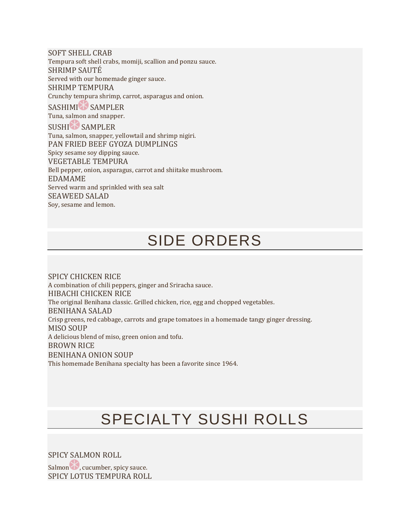SOFT SHELL CRAB Tempura soft shell crabs, momiji, scallion and ponzu sauce. SHRIMP SAUTÉ Served with our homemade ginger sauce. SHRIMP TEMPURA Crunchy tempura shrimp, carrot, asparagus and onion. SASHIMI SAMPLER Tuna, salmon and snapper. SUSHI<sup>N</sup> SAMPLER Tuna, salmon, snapper, yellowtail and shrimp nigiri. PAN FRIED BEEF GYOZA DUMPLINGS Spicy sesame soy dipping sauce. VEGETABLE TEMPURA Bell pepper, onion, asparagus, carrot and shiitake mushroom. EDAMAME Served warm and sprinkled with sea salt SEAWEED SALAD Soy, sesame and lemon.

### SIDE ORDERS

SPICY CHICKEN RICE A combination of chili peppers, ginger and Sriracha sauce. HIBACHI CHICKEN RICE The original Benihana classic. Grilled chicken, rice, egg and chopped vegetables. BENIHANA SALAD Crisp greens, red cabbage, carrots and grape tomatoes in a homemade tangy ginger dressing. MISO SOUP A delicious blend of miso, green onion and tofu. BROWN RICE BENIHANA ONION SOUP This homemade Benihana specialty has been a favorite since 1964.

# SPECIALTY SUSHI ROLLS

SPICY SALMON ROLL Salmon b, cucumber, spicy sauce. SPICY LOTUS TEMPURA ROLL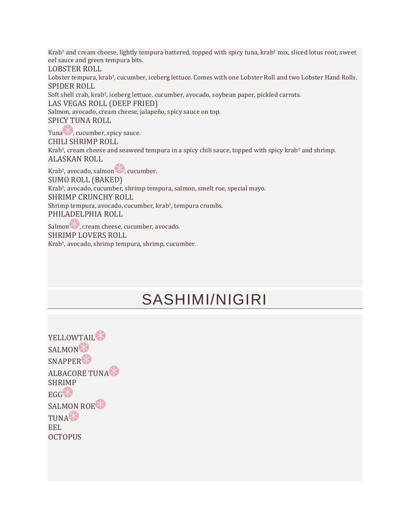Krab† and cream cheese, lightly tempura battered, topped with spicy tuna, krab† mix, sliced lotus root, sweet eel sauce and green tempura bits. LOBSTER ROLL Lobster tempura, krab† , cucumber, iceberg lettuce. Comes with one Lobster Roll and two Lobster Hand Rolls. SPIDER ROLL Soft shell crab, krab† , iceberg lettuce, cucumber, avocado, soybean paper, pickled carrots. LAS VEGAS ROLL (DEEP FRIED) Salmon, avocado, cream cheese, jalapeño, spicy sauce on top. SPICY TUNA ROLL Tuna b, cucumber, spicy sauce. CHILI SHRIMP ROLL Krab† , cream cheese and seaweed tempura in a spicy chili sauce, topped with spicy krab† and shrimp. ALASKAN ROLL Krab<sup>†</sup>, avocado, salmon **10**, cucumber. SUMO ROLL (BAKED) Krab† , avocado, cucumber, shrimp tempura, salmon, smelt roe, special mayo. SHRIMP CRUNCHY ROLL Shrimp tempura, avocado, cucumber, krab† , tempura crumbs. PHILADELPHIA ROLL Salmon , cream cheese, cucumber, avocado. SHRIMP LOVERS ROLL

Krab† , avocado, shrimp tempura, shrimp, cucumber.

### SASHIMI/NIGIRI

YELLOWTAIL<sup>&</sup> SALMON<sup>8</sup> SNAPPER<sup>8</sup> ALBACORE TUNA SHRIMP  $EGG$ <sup> $\bigotimes$ </sup> SALMON ROE<sup>8</sup> **TUNACT** EEL **OCTOPUS**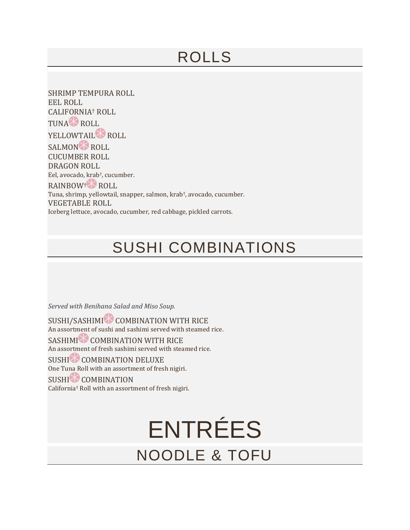# ROLLS

SHRIMP TEMPURA ROLL EEL ROLL CALIFORNIA† ROLL TUNA ROLL YELLOWTAIL<sup>8</sup> ROLL SALMON ROLL CUCUMBER ROLL DRAGON ROLL Eel, avocado, krab† , cucumber. RAINBOW<sup>†</sup> ROLL Tuna, shrimp, yellowtail, snapper, salmon, krab† , avocado, cucumber. VEGETABLE ROLL Iceberg lettuce, avocado, cucumber, red cabbage, pickled carrots.

## SUSHI COMBINATIONS

*Served with Benihana Salad and Miso Soup.*

SUSHI/SASHIMI COMBINATION WITH RICE An assortment of sushi and sashimi served with steamed rice. SASHIMI COMBINATION WITH RICE An assortment of fresh sashimi served with steamed rice. SUSHI<sup>N</sup> COMBINATION DELUXE One Tuna Roll with an assortment of fresh nigiri. SUSHI COMBINATION California† Roll with an assortment of fresh nigiri.

> ENTRÉES NOODLE & TOFU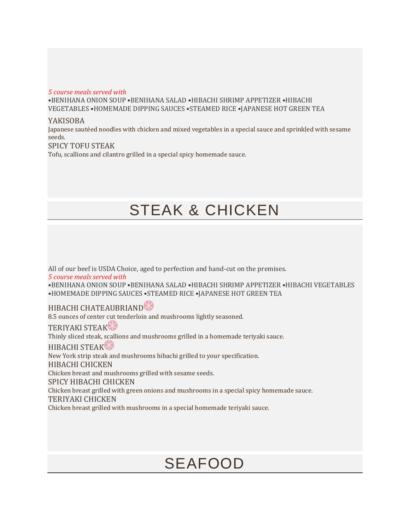#### *5 course meals served with*

•BENIHANA ONION SOUP •BENIHANA SALAD •HIBACHI SHRIMP APPETIZER •HIBACHI VEGETABLES •HOMEMADE DIPPING SAUCES •STEAMED RICE •JAPANESE HOT GREEN TEA

#### YAKISOBA

Japanese sautéed noodles with chicken and mixed vegetables in a special sauce and sprinkled with sesame seeds.

#### SPICY TOFU STEAK

Tofu, scallions and cilantro grilled in a special spicy homemade sauce.

### STEAK & CHICKEN

All of our beef is USDA Choice, aged to perfection and hand-cut on the premises. *5 course meals served with* •BENIHANA ONION SOUP •BENIHANA SALAD •HIBACHI SHRIMP APPETIZER •HIBACHI VEGETABLES •HOMEMADE DIPPING SAUCES •STEAMED RICE •JAPANESE HOT GREEN TEA

HIBACHI CHATEAUBRIAND

8.5 ounces of center cut tenderloin and mushrooms lightly seasoned.

TERIYAKI STEAK Thinly sliced steak, scallions and mushrooms grilled in a homemade teriyaki sauce. HIBACHI STEAK New York strip steak and mushrooms hibachi grilled to your specification. HIBACHI CHICKEN Chicken breast and mushrooms grilled with sesame seeds. SPICY HIBACHI CHICKEN Chicken breast grilled with green onions and mushrooms in a special spicy homemade sauce. TERIYAKI CHICKEN Chicken breast grilled with mushrooms in a special homemade teriyaki sauce.

### SEAFOOD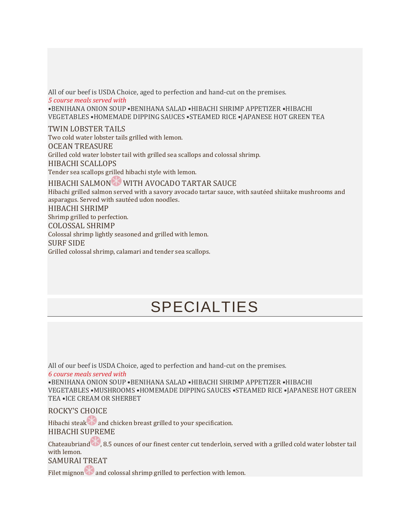All of our beef is USDA Choice, aged to perfection and hand-cut on the premises. *5 course meals served with* •BENIHANA ONION SOUP •BENIHANA SALAD •HIBACHI SHRIMP APPETIZER •HIBACHI VEGETABLES •HOMEMADE DIPPING SAUCES •STEAMED RICE •JAPANESE HOT GREEN TEA TWIN LOBSTER TAILS Two cold water lobster tails grilled with lemon.

OCEAN TREASURE Grilled cold water lobster tail with grilled sea scallops and colossal shrimp. HIBACHI SCALLOPS Tender sea scallops grilled hibachi style with lemon.

HIBACHI SALMON WITH AVOCADO TARTAR SAUCE

Hibachi grilled salmon served with a savory avocado tartar sauce, with sautéed shiitake mushrooms and asparagus. Served with sautéed udon noodles.

HIBACHI SHRIMP Shrimp grilled to perfection. COLOSSAL SHRIMP Colossal shrimp lightly seasoned and grilled with lemon. SURF SIDE Grilled colossal shrimp, calamari and tender sea scallops.

# SPECIALTIES

All of our beef is USDA Choice, aged to perfection and hand-cut on the premises.

*6 course meals served with* •BENIHANA ONION SOUP •BENIHANA SALAD •HIBACHI SHRIMP APPETIZER •HIBACHI

VEGETABLES •MUSHROOMS •HOMEMADE DIPPING SAUCES •STEAMED RICE •JAPANESE HOT GREEN TEA •ICE CREAM OR SHERBET

ROCKY'S CHOICE

Hibachi steak and chicken breast grilled to your specification.

HIBACHI SUPREME

Chateaubriand  $\bullet$ , 8.5 ounces of our finest center cut tenderloin, served with a grilled cold water lobster tail with lemon. SAMURAI TREAT

Filet mignon  $\bullet$  and colossal shrimp grilled to perfection with lemon.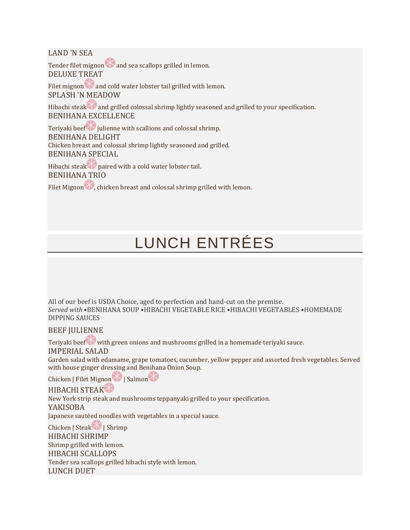LAND 'N SEA

Tender filet mignon and sea scallops grilled in lemon. DELUXE TREAT

Filet mignon  $\bullet$  and cold water lobster tail grilled with lemon. SPLASH 'N MEADOW

Hibachi steak and grilled colossal shrimp lightly seasoned and grilled to your specification. BENIHANA EXCELLENCE

Teriyaki beef julienne with scallions and colossal shrimp. BENIHANA DELIGHT Chicken breast and colossal shrimp lightly seasoned and grilled. BENIHANA SPECIAL

Hibachi steak paired with a cold water lobster tail. BENIHANA TRIO

Filet Mignon  $\bullet$ , chicken breast and colossal shrimp grilled with lemon.

# LUNCH ENTRÉES

All of our beef is USDA Choice, aged to perfection and hand-cut on the premise. *Served with* •BENIHANA SOUP •HIBACHI VEGETABLE RICE •HIBACHI VEGETABLES •HOMEMADE DIPPING SAUCES

BEEF JULIENNE

Teriyaki beef with green onions and mushrooms grilled in a homemade teriyaki sauce.

IMPERIAL SALAD

Garden salad with edamame, grape tomatoes, cucumber, yellow pepper and assorted fresh vegetables. Served with house ginger dressing and Benihana Onion Soup.

Chicken | Filet Mignon | Salmon

HIBACHI STEAK

New York strip steak and mushrooms teppanyaki grilled to your specification.

YAKISOBA

Japanese sautéed noodles with vegetables in a special sauce.

Chicken | Steak | Shrimp HIBACHI SHRIMP Shrimp grilled with lemon. HIBACHI SCALLOPS Tender sea scallops grilled hibachi style with lemon. LUNCH DUET